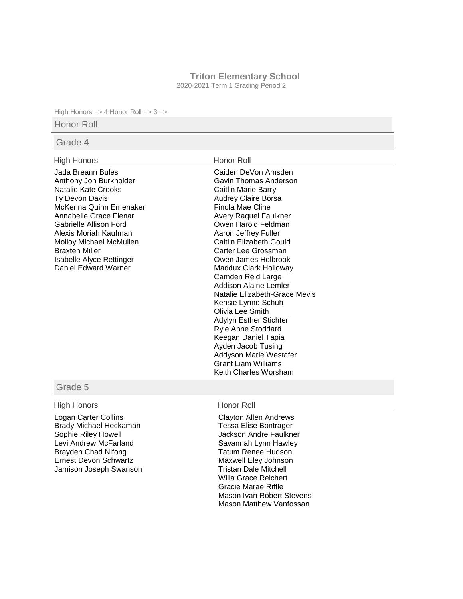### **Triton Elementary School**

2020-2021 Term 1 Grading Period 2

High Honors => 4 Honor Roll => 3 =>

# Honor Roll

## Grade 4

### High Honors **Honor Roll**

Jada Breann Bules Anthony Jon Burkholder Natalie Kate Crooks Ty Devon Davis McKenna Quinn Emenaker Annabelle Grace Flenar Gabrielle Allison Ford Alexis Moriah Kaufman Molloy Michael McMullen Braxten Miller Isabelle Alyce Rettinger Daniel Edward Warner

Caiden DeVon Amsden Gavin Thomas Anderson Caitlin Marie Barry Audrey Claire Borsa Finola Mae Cline Avery Raquel Faulkner Owen Harold Feldman Aaron Jeffrey Fuller Caitlin Elizabeth Gould Carter Lee Grossman Owen James Holbrook Maddux Clark Holloway Camden Reid Large Addison Alaine Lemler Natalie Elizabeth-Grace Mevis Kensie Lynne Schuh Olivia Lee Smith Adylyn Esther Stichter Ryle Anne Stoddard Keegan Daniel Tapia Ayden Jacob Tusing Addyson Marie Westafer Grant Liam Williams Keith Charles Worsham

# Grade 5

## High Honors **Honor Roll**

Logan Carter Collins Brady Michael Heckaman Sophie Riley Howell Levi Andrew McFarland Brayden Chad Nifong Ernest Devon Schwartz Jamison Joseph Swanson

Clayton Allen Andrews Tessa Elise Bontrager Jackson Andre Faulkner Savannah Lynn Hawley Tatum Renee Hudson Maxwell Eley Johnson Tristan Dale Mitchell Willa Grace Reichert Gracie Marae Riffle Mason Ivan Robert Stevens Mason Matthew Vanfossan